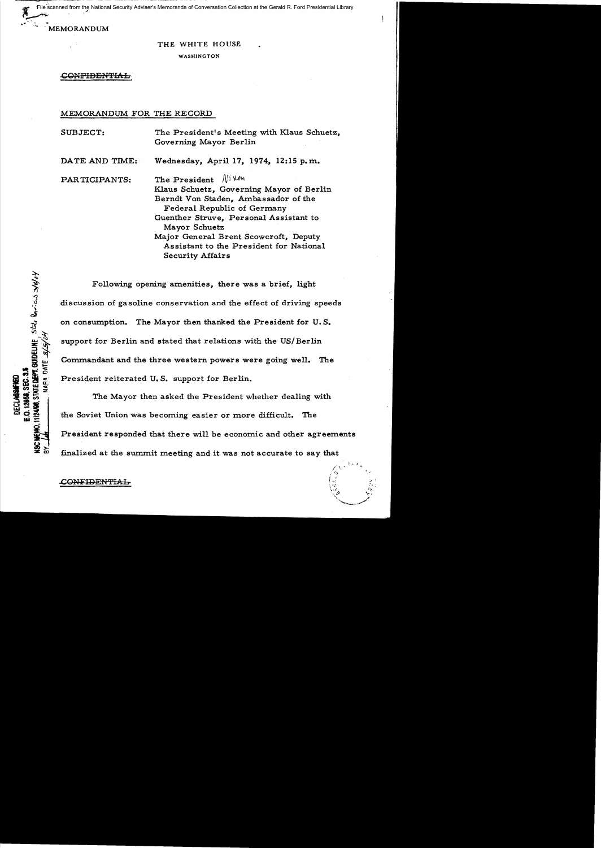~ File scanned from the National Security Adviser's Memoranda of Conversation Collection at the Gerald R. Ford Presidential Library<br>يحتجم

, MEMORANDUM

THE WHITE HOUSE

WASHINGTON

CONFIDENTIAL

MEMORANDUM FOR THE RECORD

SUBJECT: The President's Meeting with Klaus Schuetz, Governing Mayor Berlin DATE AND TIME: Wednesday, April 17, 1974, 12:15 p.m. PARTICIPANTS: The President  $\mathbb{N}^{\dagger}$  Verturn The President Klaus Schuetz, Governing Mayor of Berlin Berndt Von Staden, Ambassador of the Federal Republic of Germany Guenther Struve, Personal Assistant to Mayor Schuetz Major General Brent Scowcroft, Deputy Assistant to the President for National

Security Affairs

Following opening amenities, there was a brief, light discussion of gasoline conservation and the effect of driving speeds on consumption. The Mayor then thanked the President for U. S. support for Berlin and stated that relations with the US/Berlin Commandant and the three western powers were going well. The President reiterated U. S. support for Berlin.

The Mayor then asked the President whether dealing with the Soviet Union was becoming easier or more difficult. The President responded that there will be economic and other agreements finalized at the summit meeting and it was not accurate to say that

**TIPLICO, STATE DEPT. CONDELINE**, State Boricule 26/0/4

E.O. 12958, SEC. 3.5

\$

DATE 8/5/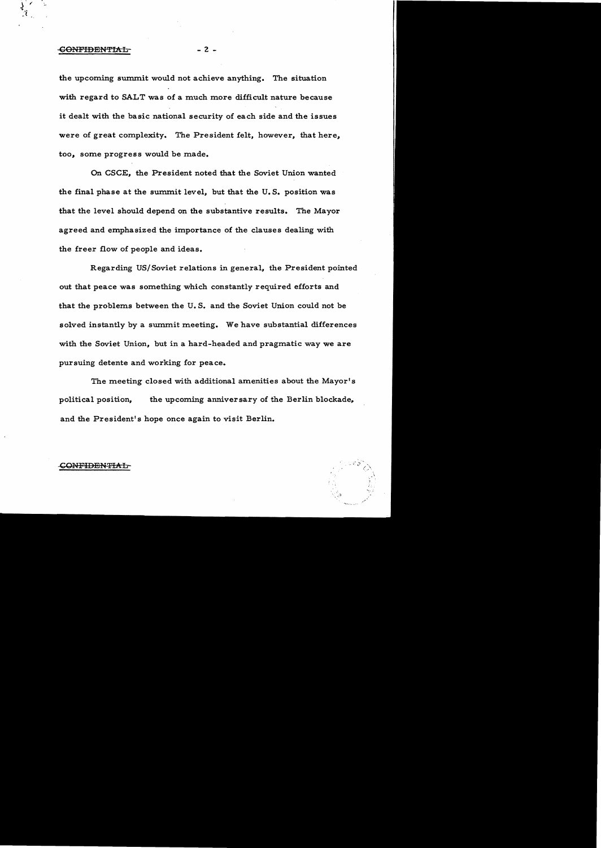## - CONFIDENTIAL CONFIDENTIAL

the upcoming sunnnit would not achieve anything. The situation with regard to SALT was of a much more difficult nature because it dealt with the basic national security of each side and the issues were of great complexity. The President felt, however, that here, too, some progress would be made.

On CSCE, the President noted that the Soviet Union wanted the final phase at the sunnnit level, but that the U. S. position was that the level should depend on the substantive results. The Mayor agreed and emphasized the importance of the clauses dealing with the freer flow of people and ideas.

Regarding *USI* Soviet relations in general, the President pointed out that peace was something which constantly required efforts and that the problems between the U. S. and the Soviet Union could not be solved instantly by a summit meeting. We have substantial differences with the Soviet Union, but in a hard-headed and pragmatic way we are pursuing detente and working for peace.

The meeting closed with additional amenities about the Mayor's political position, the upcoming anniversary of the Berlin blockade, and the President's hope once again to visit Berlin.

## CONFIDENTIAL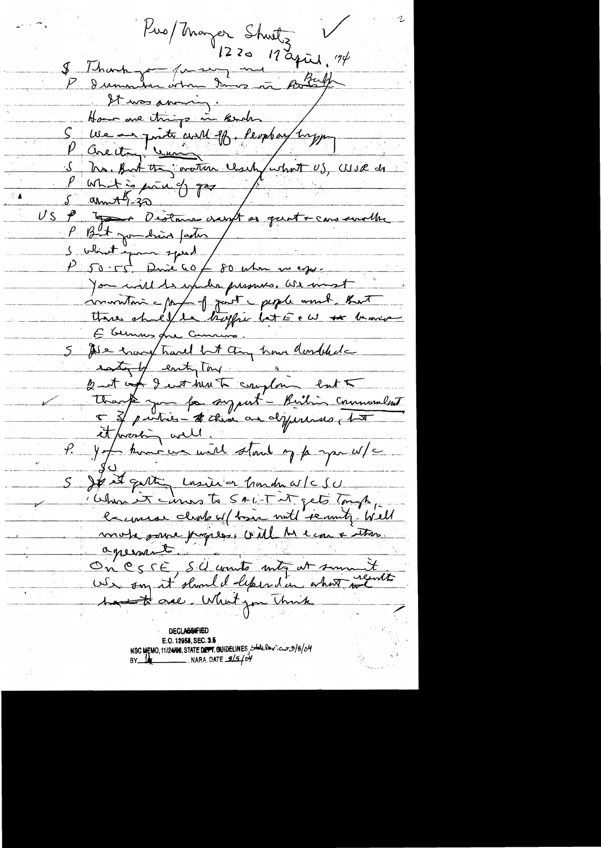Pro/Mayer Shorts V<br>8 Thomps from 20 19 april 194<br>P demonder when down in Roberts It was aming. Home are things in Burch S we are printe au 1B. Peopler 1mpp<br>P Circ et Lucien Clark (15), We de P What is parad of gos for the cars seveller <u>U S</u> P But journalis partir / S which in the speed for when we eggs. Jon will be up her pressures. We want communicação de part peple mont that Hore shall le hoffri let Et W se brasis 5 Ale encourt travel but any hour doubtede estat entiplay Unanté juin foi sy part - Bailin communelent P. Jeff komme un mett stand og pe spa u/c Jest gattin Lossie or Gordon W/CSU Chan it cames to 546-T it gets Tough, mote some properses coule les econ a tros apernat. On CSSE S.C counts mitg at summit hand the one. What you Think **DECLABRIFIED** 

E.O. 12958, SEC. 3.5 NSC MEMO, 11/24108, STATE DEPT. QUIDELINES, State Powers 2/8/04 BY  $\frac{1}{2}$  NARA DATE  $\frac{9}{5}$  of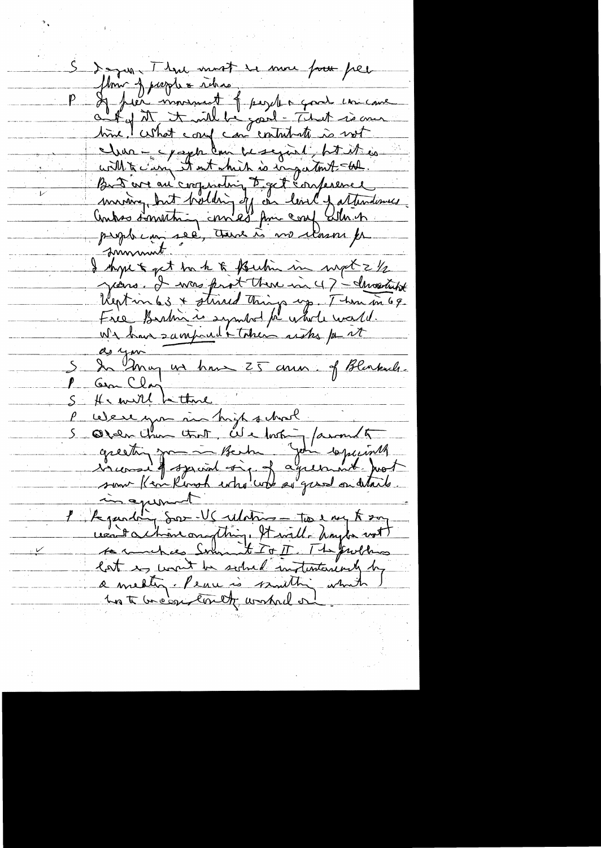S depen. Than most se more pour pres flore jusque réhier de la fait de commencer de la fait de commencer de la fait de commencer de la fait de comme<br>autres et le fait de partie de la fait de comme de la fait de comme de la fait de comme de la fait de comme de cher - c/apple les mes partiers de la mes But ere au comprating to get conference<br>moving but holding off on level fattendomes  $\overline{\nu}$ formand. I kyse & get back & Bushin in mpt 2 1/2 years. I was prot there in 47 - Invartist Reption 63 + stired things up. There in 69 de you un hour 25 ans of Blankule He will be there Were you in high school. Orden Chan tout, ale looking /around to greeting from Berta John 10 juinth in aproved l'il examin sur US relations - Too e very to say ventachanomything, It will haybe not lat is want be sound intentioned by a medig - Penu is multing which hat breas could worked or